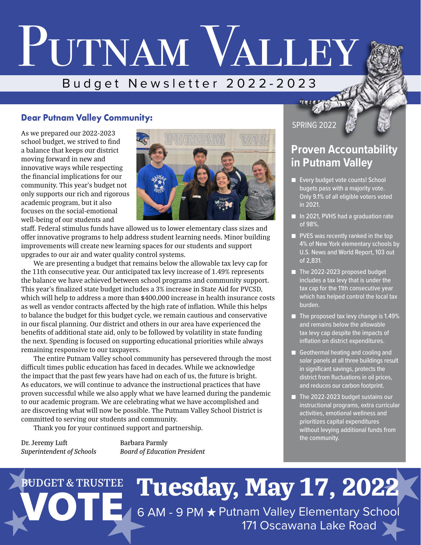# PUTNAM VALLEY Budget Newsletter 2022-2023

## **Dear Putnam Valley Community:**

As we prepared our 2022-2023 school budget, we strived to find a balance that keeps our district moving forward in new and innovative ways while respecting the financial implications for our community. This year's budget not only supports our rich and rigorous academic program, but it also focuses on the social-emotional well-being of our students and



staff. Federal stimulus funds have allowed us to lower elementary class sizes and offer innovative programs to help address student learning needs. Minor building improvements will create new learning spaces for our students and support upgrades to our air and water quality control systems.

We are presenting a budget that remains below the allowable tax levy cap for the 11th consecutive year. Our anticipated tax levy increase of 1.49% represents the balance we have achieved between school programs and community support. This year's finalized state budget includes a 3% increase in State Aid for PVCSD, which will help to address a more than \$400,000 increase in health insurance costs as well as vendor contracts affected by the high rate of inflation. While this helps to balance the budget for this budget cycle, we remain cautious and conservative in our fiscal planning. Our district and others in our area have experienced the benefits of additional state aid, only to be followed by volatility in state funding the next. Spending is focused on supporting educational priorities while always remaining responsive to our taxpayers.

The entire Putnam Valley school community has persevered through the most difficult times public education has faced in decades. While we acknowledge the impact that the past few years have had on each of us, the future is bright. As educators, we will continue to advance the instructional practices that have proven successful while we also apply what we have learned during the pandemic to our academic program. We are celebrating what we have accomplished and are discovering what will now be possible. The Putnam Valley School District is committed to serving our students and community.

Thank you for your continued support and partnership.

Dr. Jeremy Luft Barbara Parmly

*Superintendent of Schools Board of Education President*

## SPRING 2022

# **Proven Accountability in Putnam Valley**

- Every budget vote counts! School bugets pass with a majority vote. Only 9.1% of all eligible voters voted in 2021.
- In 2021, PVHS had a graduation rate of 98%.
- PVES was recently ranked in the top 4% of New York elementary schools by U.S. News and World Report, 103 out of 2,831.
- The 2022-2023 proposed budget includes a tax levy that is under the tax cap for the 11th consecutive year which has helped control the local tax burden.
- The proposed tax levy change is 1.49% and remains below the allowable tax levy cap despite the impacts of inflation on district expenditures.
- Geothermal heating and cooling and solar panels at all three buildings result in significant savings, protects the district from fluctuations in oil prices, and reduces our carbon footprint.
- The 2022-2023 budget sustains our instructional programs, extra curricular activities, emotional wellness and prioritizes capital expenditures without levying additional funds from the community.

# **BUDGET & TRUSTEE Tuesday, May 17, 2022** 6 AM - 9 PM ★ Putnam Valley Elementary School 171 Oscawana Lake Road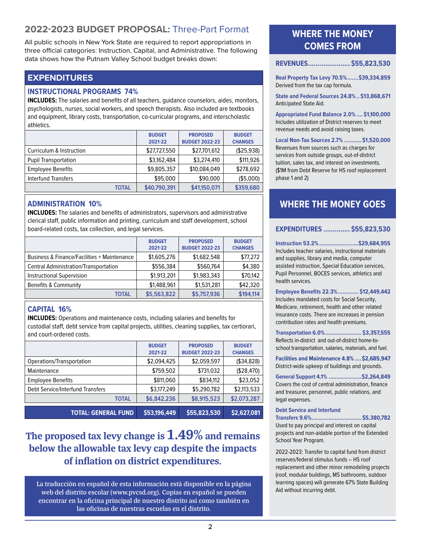# **2022-2023 BUDGET PROPOSAL:** Three-Part Format

All public schools in New York State are required to report appropriations in three official categories: Instruction, Capital, and Administrative. The following data shows how the Putnam Valley School budget breaks down:

#### **EXPENDITURES**

#### **INSTRUCTIONAL PROGRAMS 74%**

**INCLUDES:** The salaries and benefits of all teachers, guidance counselors, aides, monitors, psychologists, nurses, social workers, and speech therapists. Also included are textbooks and equipment, library costs, transportation, co-curricular programs, and interscholastic athletics.

|                             | <b>BUDGET</b><br>2021-22 | <b>PROPOSED</b><br><b>BUDGET 2022-23</b> | <b>BUDGET</b><br><b>CHANGES</b> |
|-----------------------------|--------------------------|------------------------------------------|---------------------------------|
| Curriculum & Instruction    | \$27,727,550             | \$27,701,612                             | ( \$25, 938)                    |
| <b>Pupil Transportation</b> | \$3,162,484              | \$3,274,410                              | \$111,926                       |
| <b>Employee Benefits</b>    | \$9,805,357              | \$10,084,049                             | \$278,692                       |
| <b>Interfund Transfers</b>  | \$95,000                 | \$90,000                                 | (\$5,000)                       |
| <b>TOTAL</b>                | \$40,790,391             | \$41,150,071                             | \$359,680                       |

#### **ADMINISTRATION 10%**

**INCLUDES:** The salaries and benefits of administrators, supervisors and administrative clerical staff, public information and printing, curriculum and staff development, school board-related costs, tax collection, and legal services.

|                                                        | <b>BUDGET</b> | <b>PROPOSED</b>       | <b>BUDGET</b>  |
|--------------------------------------------------------|---------------|-----------------------|----------------|
|                                                        | 2021-22       | <b>BUDGET 2022-23</b> | <b>CHANGES</b> |
| <b>Business &amp; Finance/Facilities + Maintenance</b> | \$1,605,276   | \$1,682,548           | \$77,272       |
| <b>Central Administration/Transportation</b>           | \$556,384     | \$560,764             | \$4,380        |
| <b>Instructional Supervision</b>                       | \$1,913,201   | \$1,983,343           | \$70,142       |
| Benefits & Community                                   | \$1,488,961   | \$1,531,281           | \$42,320       |
| <b>TOTAL</b>                                           | \$5,563,822   | \$5,757,936           | \$194,114      |

#### **CAPITAL 16%**

**INCLUDES:** Operations and maintenance costs, including salaries and benefits for custodial staff, debt service from capital projects, utilities, cleaning supplies, tax certiorari, and court-ordered costs.

| <b>TOTAL: GENERAL FUND</b>       | \$53,196,449             | \$55,823,530                             | \$2,627,081                     |
|----------------------------------|--------------------------|------------------------------------------|---------------------------------|
| <b>TOTAL</b>                     | \$6,842,236              | \$8,915,523                              | \$2,073,287                     |
| Debt Service/Interfund Transfers | \$3,177,249              | \$5,290,782                              | \$2,113,533                     |
| <b>Employee Benefits</b>         | \$811,060                | \$834,112                                | \$23,052                        |
| Maintenance                      | \$759,502                | \$731,032                                | (\$28,470)                      |
| Operations/Transportation        | \$2,094,425              | \$2,059,597                              | (\$34,828)                      |
|                                  | <b>BUDGET</b><br>2021-22 | <b>PROPOSED</b><br><b>BUDGET 2022-23</b> | <b>BUDGET</b><br><b>CHANGES</b> |
|                                  |                          |                                          |                                 |

# The proposed tax levy change is  $1.49\%$  and remains below the allowable tax levy cap despite the impacts of inflation on district expenditures.

**La traducción en español de esta información está disponible en la página web del distrito escolar (www.pvcsd.org). Copias en español se pueden encontrar en la oficina principal de nuestro distrito así como también en las oficinas de nuestras escuelas en el distrito.**

# **WHERE THE MONEY COMES FROM**

**REVENUES...................... \$55,823,530**

**Real Property Tax Levy 70.5%.......\$39,334,859** Derived from the tax cap formula.

**State and Federal Sources 24.8% ..\$13,868,671**  Anticipated State Aid.

**Appropriated Fund Balance 2.0% ....\$1,100,000**  Includes utilization of District reserves to meet revenue needs and avoid raising taxes.

**Local Non-Tax Sources 2.7% ........... \$1,520,000**  Revenues from sources such as charges for services from outside groups, out-of-district tuition, sales tax, and interest on investments. (\$1M from Debt Reserve for HS roof replacement phase 1 and 2)

# **WHERE THE MONEY GOES**

#### **EXPENDITURES .............. \$55,823,530**

**Instruction 53.2%.........................\$29,684,955** Includes teacher salaries, instructional materials and supplies, library and media, computer assisted instruction, Special Education services, Pupil Personnel, BOCES services, athletics and health services.

**Employee Benefits 22.3%............. \$12,449,442** Includes mandated costs for Social Security, Medicare, retirement, health and other related insurance costs. There are increases in pension contribution rates and health premiums.

**Transportation 6.0%....................... \$3,357,555** Reflects in-district and out-of-district home-toschool transportation, salaries, materials, and fuel.

**Facilities and Maintenance 4.8% ....\$2,685,947**  District-wide upkeep of buildings and grounds.

**General Support 4.1% .....................\$2,264,849** Covers the cost of central administration, finance and treasurer, personnel, public relations, and legal expenses.

#### **Debt Service and Interfund**

**Transfers 9.6%................................ \$5,380,782**  Used to pay principal and interest on capital projects and non-aidable portion of the Extended School Year Program.

2022-2023: Transfer to capital fund from district reserves/federal stimulus funds – HS roof replacement and other minor remodeling projects (roof, modular buildings, MS bathrooms, outdoor learning spaces) will generate 67% State Building Aid without incurring debt.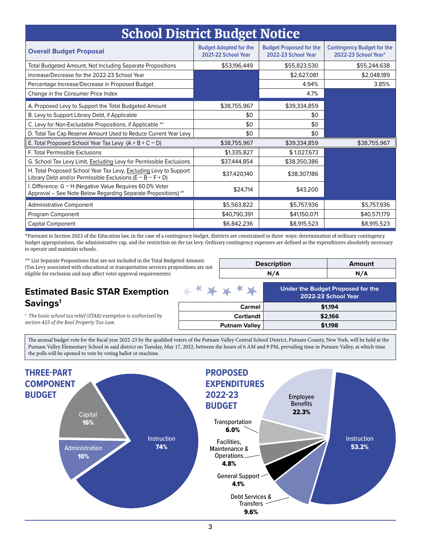| <b>School District Budget Notice</b>                                                                                                |                                                      |                                                       |                                                           |
|-------------------------------------------------------------------------------------------------------------------------------------|------------------------------------------------------|-------------------------------------------------------|-----------------------------------------------------------|
| <b>Overall Budget Proposal</b>                                                                                                      | <b>Budget Adopted for the</b><br>2021-22 School Year | <b>Budget Proposed for the</b><br>2022-23 School Year | <b>Contingency Budget for the</b><br>2022-23 School Year* |
| Total Budgeted Amount, Not Including Separate Propositions                                                                          | \$53,196,449                                         | \$55,823,530                                          | \$55,244,638                                              |
| Increase/Decrease for the 2022-23 School Year                                                                                       |                                                      | \$2,627,081                                           | \$2,048,189                                               |
| Percentage Increase/Decrease in Proposed Budget                                                                                     |                                                      | 4.94%                                                 | 3.85%                                                     |
| Change in the Consumer Price Index                                                                                                  |                                                      | 4.7%                                                  |                                                           |
| A. Proposed Levy to Support the Total Budgeted Amount                                                                               | \$38,755,967                                         | \$39,334,859                                          |                                                           |
| B. Levy to Support Library Debt, if Applicable                                                                                      | \$0                                                  | \$0                                                   |                                                           |
| C. Levy for Non-Excludable Propositions, if Applicable **                                                                           | \$0                                                  | \$0                                                   |                                                           |
| D. Total Tax Cap Reserve Amount Used to Reduce Current Year Levy                                                                    | \$0                                                  | \$0                                                   |                                                           |
| E. Total Proposed School Year Tax Levy $(A + B + C - D)$                                                                            | \$38,755,967                                         | \$39,334,859                                          | \$38,755,967                                              |
| F. Total Permissible Exclusions                                                                                                     | \$1,335,827                                          | \$1,027,673                                           |                                                           |
| G. School Tax Levy Limit, Excluding Levy for Permissible Exclusions                                                                 | \$37,444,854                                         | \$38,350,386                                          |                                                           |
| H. Total Proposed School Year Tax Levy, Excluding Levy to Support<br>Library Debt and/or Permissible Exclusions ( $E - B - F + D$ ) | \$37,420,140                                         | \$38,307,186                                          |                                                           |
| I. Difference: G - H (Negative Value Requires 60.0% Voter<br>Approval - See Note Below Regarding Separate Propositions) **          | \$24,714                                             | \$43,200                                              |                                                           |
| <b>Administrative Component</b>                                                                                                     | \$5,563,822                                          | \$5,757,936                                           | \$5,757,936                                               |
| Program Component                                                                                                                   | \$40,790,391                                         | \$41,150,071                                          | \$40,571,179                                              |
| <b>Capital Component</b>                                                                                                            | \$6,842,236                                          | \$8,915,523                                           | \$8,915,523                                               |

\*Pursuant to Section 2023 of the Education law, in the case of a contingency budget, districts are constrained in three ways: determination of ordinary contingency budget appropriations, the administrative cap, and the restriction on the tax levy. Ordinary contingency expenses are defined as the expenditures absolutely necessary to operate and maintain schools.

\*\* List Separate Propositions that are not included in the Total Budgeted Amount: (Tax Levy associated with educational or transportation services propositions are not eligible for exclusion and may affect voter approval requirements)

| <b>Description</b> | Amount |
|--------------------|--------|
|                    |        |

### **Estimated Basic STAR Exemption Savings1**

*1 The basic school tax relief (STAR) exemption is authorized by section 425 of the Real Property Tax Law.*

| * * * * * *          | Under the Budget Proposed for the<br>2022-23 School Year |
|----------------------|----------------------------------------------------------|
| Carmel               | \$1,194                                                  |
| <b>Cortlandt</b>     | \$2,166                                                  |
| <b>Putnam Valley</b> | \$1,198                                                  |

The annual budget vote for the fiscal year 2022-23 by the qualified voters of the Putnam Valley Central School District, Putnam County, New York, will be held at the Putnam Valley Elementary School in said district on Tuesday, May 17, 2022, between the hours of 6 AM and 9 PM, prevailing time in Putnam Valley, at which time the polls will be opened to vote by voting ballot or machine.